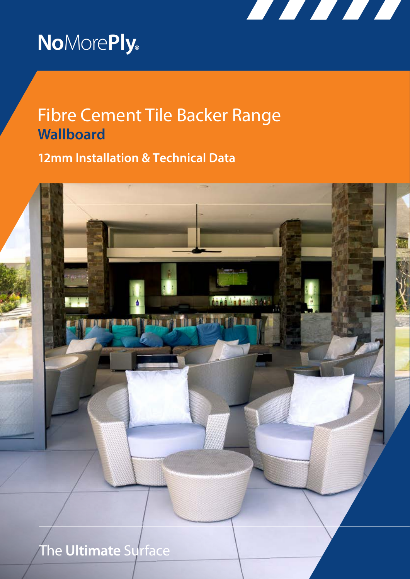

# **No**More**Ply®**

# Fibre Cement Tile Backer Range **Wallboard**

**12mm Installation & Technical Data**

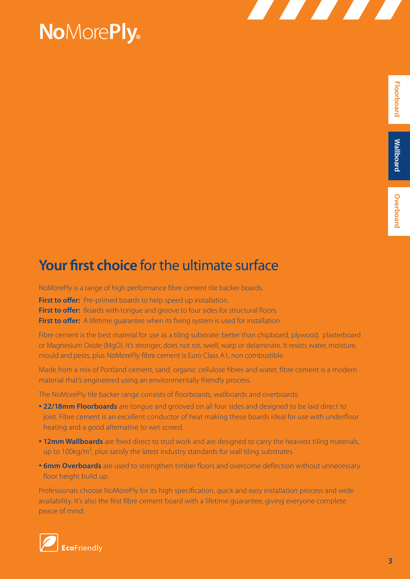# **No**More**Ply®**

# **Your first choice** for the ultimate surface

NoMorePly is a range of high performance fibre cement tile backer boards.

**First to offer:** Pre-primed boards to help speed up installation.

**First to offer:** Boards with tongue and groove to four sides for structural floors.

**First to offer:** A lifetime quarantee when its fixing system is used for installation.

Fibre cement is the best material for use as a tiling substrate: better than chipboard, plywood, plasterboard or Magnesium Oxide (MgO). It's stronger, does not rot, swell, warp or delaminate. It resists water, moisture, mould and pests, plus NoMorePly fibre cement is Euro Class A1, non combustible.

Made from a mix of Portland cement, sand, organic cellulose fibres and water, fibre cement is a modern material that's engineered using an environmentally friendly process.

The NoMorePly tile backer range consists of floorboards, wallboards and overboards:

- **22/18mm Floorboards** are tongue and grooved on all four sides and designed to be laid direct to joist. Fibre cement is an excellent conductor of heat making these boards ideal for use with underfloor heating and a good alternative to wet screed.
- **12mm Wallboards** are fixed direct to stud work and are designed to carry the heaviest tiling materials, up to 100 $kg/m<sup>2</sup>$ , plus satisfy the latest industry standards for wall tiling substrates.
- **6mm Overboards** are used to strengthen timber floors and overcome deflection without unnecessary floor height build up.

Professionals choose NoMorePly for its high specification, quick and easy installation process and wide availability. It's also the first fibre cement board with a lifetime guarantee, giving everyone complete peace of mind.

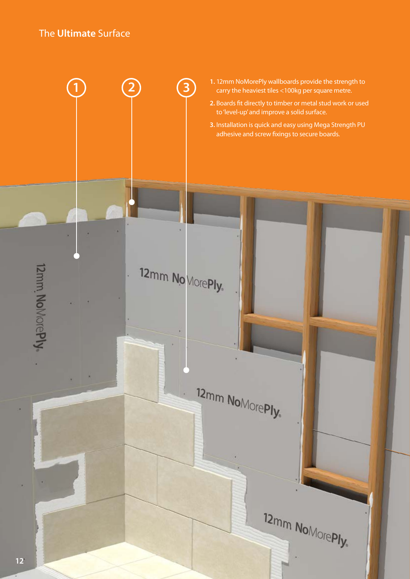### The **Ultimate** Surface

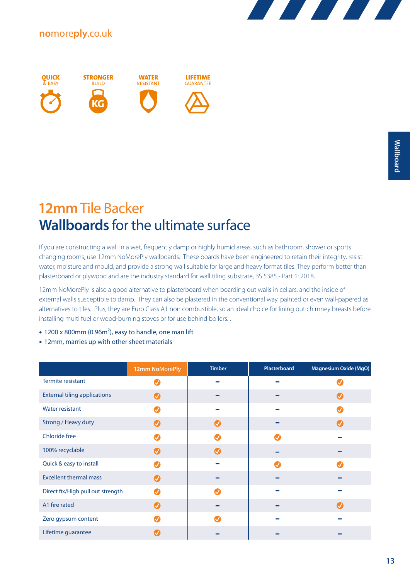



### **12mm** Tile Backer **Wallboards** for the ultimate surface

If you are constructing a wall in a wet, frequently damp or highly humid areas, such as bathroom, shower or sports changing rooms, use 12mm NoMorePly wallboards. These boards have been engineered to retain their integrity, resist water, moisture and mould, and provide a strong wall suitable for large and heavy format tiles. They perform better than plasterboard or plywood and are the industry standard for wall tiling substrate, BS 5385 - Part 1: 2018.

12mm NoMorePly is also a good alternative to plasterboard when boarding out walls in cellars, and the inside of external walls susceptible to damp. They can also be plastered in the conventional way, painted or even wall-papered as alternatives to tiles. Plus, they are Euro Class A1 non combustible, so an ideal choice for lining out chimney breasts before installing multi fuel or wood-burning stoves or for use behind boilers. .

- 1200 x 800mm (0.96m<sup>2</sup>), easy to handle, one man lift
- 12mm, marries up with other sheet materials

|                                     | 12mm NoMorePly        | <b>Timber</b>           | Plasterboard | <b>Magnesium Oxide (MgO)</b> |
|-------------------------------------|-----------------------|-------------------------|--------------|------------------------------|
| Termite resistant                   | J                     |                         |              |                              |
| <b>External tiling applications</b> | $\bm{Q}$              |                         |              |                              |
| <b>Water resistant</b>              | Ø                     |                         |              |                              |
| Strong / Heavy duty                 | Ø                     | $\bm{\bm{\mathcal{G}}}$ |              | $\bullet$                    |
| <b>Chloride free</b>                | J                     |                         |              |                              |
| 100% recyclable                     | Ø                     |                         |              |                              |
| Quick & easy to install             | . I                   |                         |              |                              |
| <b>Excellent thermal mass</b>       | $\bm{C}$              |                         |              |                              |
| Direct fix/High pull out strength   | Ø                     |                         |              |                              |
| A1 fire rated                       | $\boldsymbol{\Omega}$ |                         |              | $\boldsymbol{\sigma}$        |
| Zero gypsum content                 |                       |                         |              |                              |
| Lifetime guarantee                  |                       |                         |              |                              |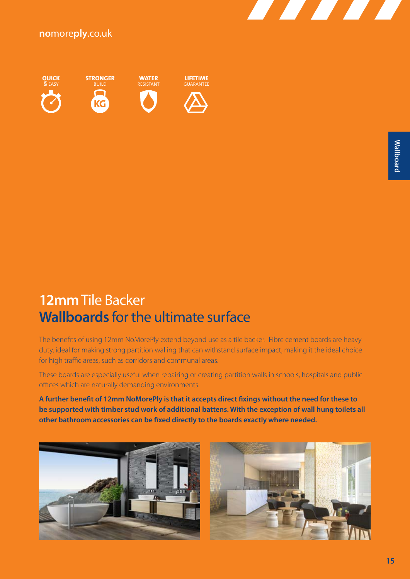



### **12mm** Tile Backer **Wallboards** for the ultimate surface

The benefits of using 12mm NoMorePly extend beyond use as a tile backer. Fibre cement boards are heavy duty, ideal for making strong partition walling that can withstand surface impact, making it the ideal choice for high traffic areas, such as corridors and communal areas.

These boards are especially useful when repairing or creating partition walls in schools, hospitals and public offices which are naturally demanding environments.

**A further benefit of 12mm NoMorePly is that it accepts direct fixings without the need for these to be supported with timber stud work of additional battens. With the exception of wall hung toilets all other bathroom accessories can be fixed directly to the boards exactly where needed.**



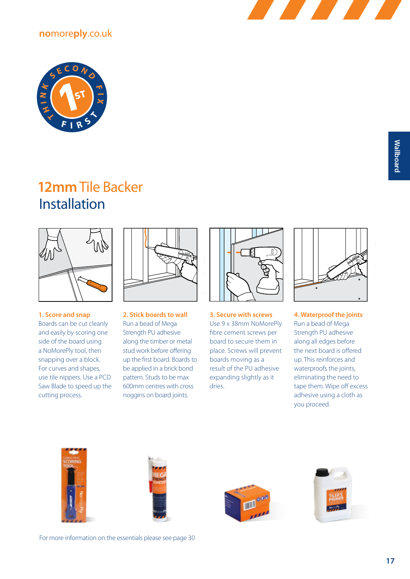



# **12mm** Tile Backer Installation



**1. Score and snap** Boards can be cut cleanly and easily by scoring one side of the board using a NoMorePly tool, then snapping over a block. For curves and shapes, use tile nippers. Use a PCD Saw Blade to speed up the cutting process.



**2. Stick boards to wall** Run a bead of Mega Strength PU adhesive along the timber or metal stud work before offering up the first board. Boards to be applied in a brick bond pattern. Studs to be max 600mm centres with cross noggins on board joints.



**3. Secure with screws** Use 9 x 38mm NoMorePly fibre cement screws per board to secure them in place. Screws will prevent boards moving as a result of the PU adhesive expanding slightly as it dries.



**4. Waterproof the joints**  Run a bead of Mega Strength PU adhesive along all edges before the next board is offered up. This reinforces and waterproofs the joints, eliminating the need to tape them. Wipe off excess adhesive using a cloth as you proceed.







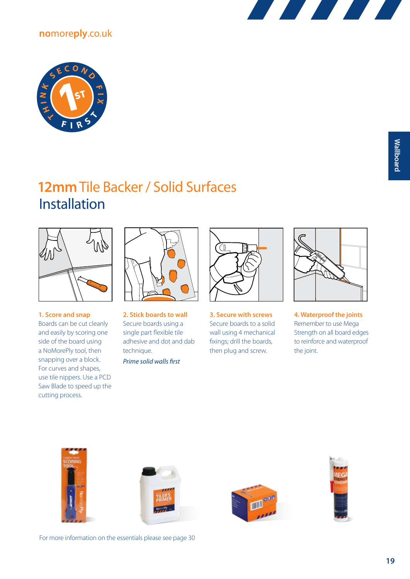



# **12mm** Tile Backer / Solid Surfaces Installation



**1. Score and snap** Boards can be cut cleanly and easily by scoring one side of the board using a NoMorePly tool, then snapping over a block. For curves and shapes, use tile nippers. Use a PCD Saw Blade to speed up the cutting process.



**2. Stick boards to wall** Secure boards using a single part flexible tile adhesive and dot and dab technique.

*Prime solid walls first*



**3. Secure with screws** Secure boards to a solid wall using 4 mechanical fixings; drill the boards, then plug and screw.



**4. Waterproof the joints**  Remember to use Mega Strength on all board edges to reinforce and waterproof the joint.









For more information on the essentials please see page 30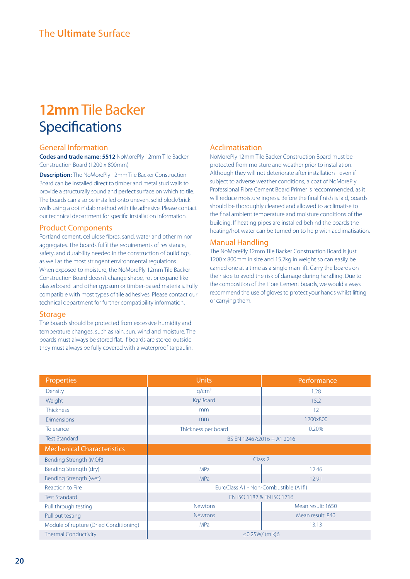## **12mm** Tile Backer **Specifications**

#### General Information

**Codes and trade name: 5512** NoMorePly 12mm Tile Backer Construction Board (1200 x 800mm)

**Description:** The NoMorePly 12mm Tile Backer Construction Board can be installed direct to timber and metal stud walls to provide a structurally sound and perfect surface on which to tile. The boards can also be installed onto uneven, solid block/brick walls using a dot 'n' dab method with tile adhesive. Please contact our technical department for specific installation information.

#### Product Components

Portland cement, cellulose fibres, sand, water and other minor aggregates. The boards fulfil the requirements of resistance, safety, and durability needed in the construction of buildings, as well as the most stringent environmental regulations. When exposed to moisture, the NoMorePly 12mm Tile Backer Construction Board doesn't change shape, rot or expand like plasterboard and other gypsum or timber-based materials. Fully compatible with most types of tile adhesives. Please contact our technical department for further compatibility information.

#### **Storage**

The boards should be protected from excessive humidity and temperature changes, such as rain, sun, wind and moisture. The boards must always be stored flat. If boards are stored outside they must always be fully covered with a waterproof tarpaulin.

#### Acclimatisation

NoMorePly 12mm Tile Backer Construction Board must be protected from moisture and weather prior to installation. Although they will not deteriorate after installation - even if subject to adverse weather conditions, a coat of NoMorePly Professional Fibre Cement Board Primer is reccommended, as it will reduce moisture ingress. Before the final finish is laid, boards should be thoroughly cleaned and allowed to acclimatise to the final ambient temperature and moisture conditions of the building. If heating pipes are installed behind the boards the heating/hot water can be turned on to help with acclimatisation.

#### Manual Handling

The NoMorePly 12mm Tile Backer Construction Board is just 1200 x 800mm in size and 15.2kg in weight so can easily be carried one at a time as a single man lift. Carry the boards on their side to avoid the risk of damage during handling. Due to the composition of the Fibre Cement boards, we would always recommend the use of gloves to protect your hands whilst lifting or carrying them.

| Properties                             | <b>Units</b>                          | Performance       |  |
|----------------------------------------|---------------------------------------|-------------------|--|
| Density                                | q/cm <sup>3</sup>                     | 1.28              |  |
| Weight                                 | Kg/Board                              | 15.2              |  |
| <b>Thickness</b>                       | mm                                    | 12                |  |
| <b>Dimensions</b>                      | mm                                    | 1200x800          |  |
| Tolerance                              | Thickness per board                   | 0.20%             |  |
| <b>Test Standard</b>                   | BS EN 12467:2016 + A1:2016            |                   |  |
| <b>Mechanical Characteristics</b>      |                                       |                   |  |
| Bending Strength (MOR)                 | Class 2                               |                   |  |
| Bending Strength (dry)                 | <b>MPa</b>                            | 12.46             |  |
| Bending Strength (wet)                 | <b>MPa</b>                            | 12.91             |  |
| Reaction to Fire                       | EuroClass A1 - Non-Combustible (A1fl) |                   |  |
| <b>Test Standard</b>                   | EN ISO 1182 & EN ISO 1716             |                   |  |
| Pull through testing                   | <b>Newtons</b>                        | Mean result: 1650 |  |
| Pull out testing                       | <b>Newtons</b>                        | Mean result: 840  |  |
| Module of rupture (Dried Conditioning) | <b>MPa</b>                            | 13.13             |  |
| <b>Thermal Conductivity</b>            | ≤0.25W/ (m.k)6                        |                   |  |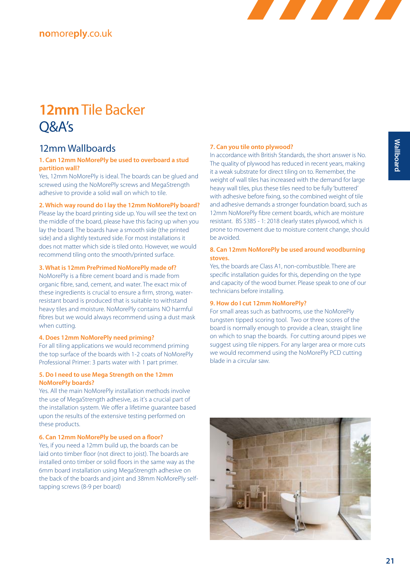

# **12mm** Tile Backer Q&A's

### 12mm Wallboards

#### **1. Can 12mm NoMorePly be used to overboard a stud partition wall?**

Yes, 12mm NoMorePly is ideal. The boards can be glued and screwed using the NoMorePly screws and MegaStrength adhesive to provide a solid wall on which to tile.

#### **2. Which way round do I lay the 12mm NoMorePly board?**

Please lay the board printing side up. You will see the text on the middle of the board, please have this facing up when you lay the board. The boards have a smooth side (the printed side) and a slightly textured side. For most installations it does not matter which side is tiled onto. However, we would recommend tiling onto the smooth/printed surface.

#### **3. What is 12mm PrePrimed NoMorePly made of?**

NoMorePly is a fibre cement board and is made from organic fibre, sand, cement, and water. The exact mix of these ingredients is crucial to ensure a firm, strong, waterresistant board is produced that is suitable to withstand heavy tiles and moisture. NoMorePly contains NO harmful fibres but we would always recommend using a dust mask when cutting.

#### **4. Does 12mm NoMorePly need priming?**

For all tiling applications we would recommend priming the top surface of the boards with 1-2 coats of NoMorePly Professional Primer: 3 parts water with 1 part primer.

#### **5. Do I need to use Mega Strength on the 12mm NoMorePly boards?**

Yes. All the main NoMorePly installation methods involve the use of MegaStrength adhesive, as it's a crucial part of the installation system. We offer a lifetime guarantee based upon the results of the extensive testing performed on these products.

#### **6. Can 12mm NoMorePly be used on a floor?**

Yes, if you need a 12mm build up, the boards can be laid onto timber floor (not direct to joist). The boards are installed onto timber or solid floors in the same way as the 6mm board installation using MegaStrength adhesive on the back of the boards and joint and 38mm NoMorePly selftapping screws (8-9 per board)

#### **7. Can you tile onto plywood?**

In accordance with British Standards, the short answer is No. The quality of plywood has reduced in recent years, making it a weak substrate for direct tiling on to. Remember, the weight of wall tiles has increased with the demand for large heavy wall tiles, plus these tiles need to be fully 'buttered' with adhesive before fixing, so the combined weight of tile and adhesive demands a stronger foundation board, such as 12mm NoMorePly fibre cement boards, which are moisture resistant. BS 5385 - 1: 2018 clearly states plywood, which is prone to movement due to moisture content change, should be avoided.

#### **8. Can 12mm NoMorePly be used around woodburning stoves.**

Yes, the boards are Class A1, non-combustible. There are specific installation guides for this, depending on the type and capacity of the wood burner. Please speak to one of our technicians before installing.

#### **9. How do I cut 12mm NoMorePly?**

For small areas such as bathrooms, use the NoMorePly tungsten tipped scoring tool. Two or three scores of the board is normally enough to provide a clean, straight line on which to snap the boards. For cutting around pipes we suggest using tile nippers. For any larger area or more cuts we would recommend using the NoMorePly PCD cutting blade in a circular saw.

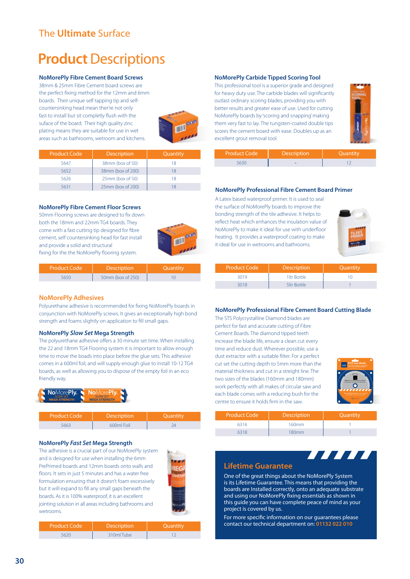### The **Ultimate** Surface

### **Product** Descriptions

#### **NoMorePly Fibre Cement Board Screws**

38mm & 25mm Fibre Cement board screws are the perfect fixing method for the 12mm and 6mm boards. Their unique self tapping tip and selfcountersinking head mean ther're not only fast to install but sit completly flush with the suface of the board. Their high quality zinc plating means they are suitable for use in wet areas such as bathrooms, wetroom and kitchens.



| <b>Product Code</b> | <b>Description</b> | Quantity |
|---------------------|--------------------|----------|
| 5647                | 38mm (box of 50)   | 18       |
| 5652                | 38mm (box of 200)  | 18       |
| 5626                | 25mm (box of 50)   | 18       |
| 5631                | 25mm (box of 200)  |          |

#### **NoMorePly Fibre Cement Floor Screws**

50mm Flooring screws are designed to fix down both the 18mm and 22mm TG4 boards. They come with a fast cutting tip designed for fibre cement, self countersinking head for fast install and provide a solid and structural fixing for the the NoMorePly flooring system.



| Product Code <sup>1</sup> | <b>Description</b> | Quantity |
|---------------------------|--------------------|----------|
|                           | 50mm (box of 250)  |          |

#### **NoMorePly Adhesives**

Polyurethane adhesive is recommended for fixing NoMorePly boards in conjunction with NoMorePly screws. It gives an exceptionally high bond strength and foams slightly on application to fill small gaps.

#### **NoMorePly** *Slow Set* **Mega Strength**

The polyurethane adhesive offers a 30 minute set time. When installing the 22 and 18mm TG4 Flooring system it is important to allow enough time to move the boads into place before the glue sets. This adhesive comes in a 600ml foil, and will supply enough glue to install 10-12 TG4 boards, as well as allowing you to dispose of the empty foil in an eco friendly way.



| <b>Product Code</b> | <b>Description</b> |  |
|---------------------|--------------------|--|
|                     | $600m$ Foil        |  |

#### **NoMorePly** *Fast Set* **Mega Strength**

The adhesive is a crucial part of our NoMorePly system and is deisgned for use when installing the 6mm PrePrimed boards and 12mm boards onto walls and floors. It sets in just 5 minutes and has a water free formulation ensuring that it doesn't foam excessively but it will expand to fill any small gaps beneath the boards. As it is 100% waterproof, it is an excellent jointing solution in all areas including bathrooms and wetrooms.



| <b>Product Code</b> | <b>Description</b> | Quantity |
|---------------------|--------------------|----------|
|                     | 310ml Tube         |          |

#### **NoMorePly Carbide Tipped Scoring Tool**

This professional tool is a superior grade and designed for heavy duty use. The carbide blades will significantly outlast ordinary scoring blades, providing you with better results and greater ease of use. Used for cutting NoMorePly boards by 'scoring and snapping' making them very fast to lay. The tungsten-coated double tips scores the cement board with ease. Doubles up as an excellent grout removal tool.



| <b>Product Code</b> | <b>Description</b> | <b>Ouantity</b> |
|---------------------|--------------------|-----------------|
|                     |                    |                 |

#### **NoMorePly Professional Fibre Cement Board Primer**

A Latex based waterproof primer. It is used to seal the surface of NoMorePly boards to improve the bonding strength of the tile adhesive. It helps to reflect heat which enhances the insulation value of NoMorePly to make it ideal for use with underfloor heating. It provides a waterproof coating to make it ideal for use in wetrooms and bathrooms.



| <b>Product Code</b> | Description  | Quantity |
|---------------------|--------------|----------|
| 3019                | 1 Itr Bottle |          |
| 3018                | 5ltr Bottle  |          |

#### **NoMorePly Professional Fibre Cement Board Cutting Blade**

The STS Polycrystalline Diamond blades are perfect for fast and accurate cutting of Fibre Cement Boards. The diamond tipped teeth increase the blade life, ensure a clean cut every time and reduce dust. Wherever possible, use a dust extractor with a suitable filter. For a perfect cut set the cutting depth to 5mm more than the material thickness and cut in a streight line. The two sizes of the blades (160mm and 180mm) work perfectly with all makes of circular saw and each blade comes with a reducing bush for the centre to ensure it holds firm in the saw.



**THEFT** 

| <b>Product Code</b> | <b>Description</b> | Quantity |
|---------------------|--------------------|----------|
| 6316                | 160mm              |          |
| 6318                | 180 <sub>mm</sub>  |          |

#### **Lifetime Guarantee**

One of the great things about the NoMorePly System is its Lifetime Guarantee. This means that providing the boards are Installed correctly, onto an adequate substrate and using our NoMorePly fixing essentials as shown in this guide you can have complete peace of mind as your project is covered by us.

For more specific information on our guarantees please contact our technical department on: **01132 022 010**